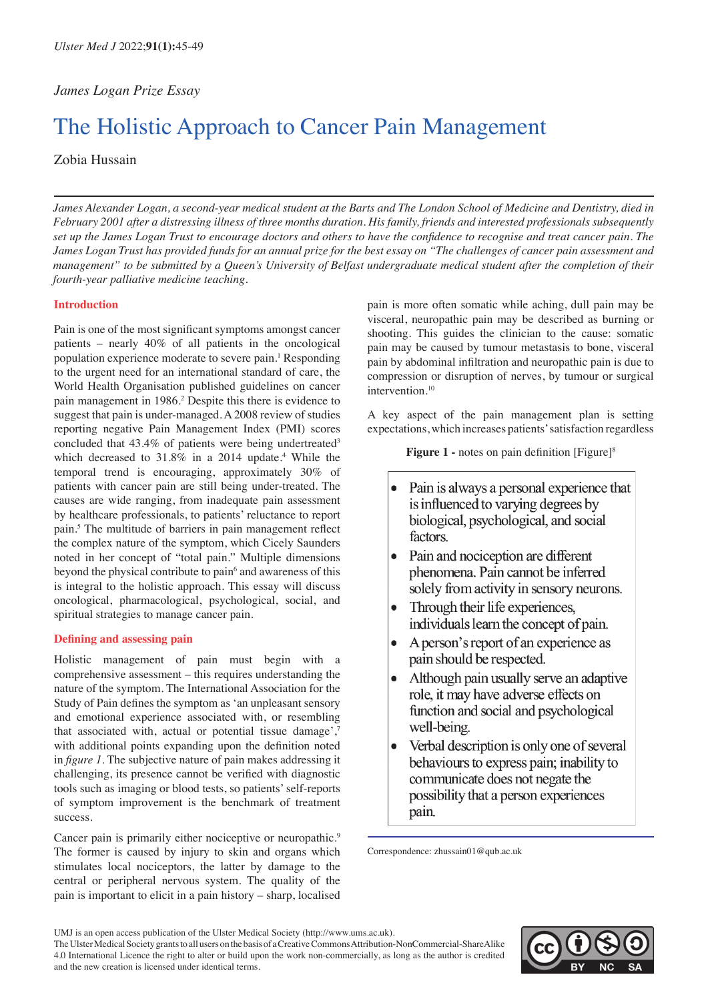# *James Logan Prize Essay*

# The Holistic Approach to Cancer Pain Management

# Zobia Hussain

*James Alexander Logan, a second-year medical student at the Barts and The London School of Medicine and Dentistry, died in February 2001 after a distressing illness of three months duration. His family, friends and interested professionals subsequently set up the James Logan Trust to encourage doctors and others to have the confidence to recognise and treat cancer pain. The James Logan Trust has provided funds for an annual prize for the best essay on "The challenges of cancer pain assessment and management" to be submitted by a Queen's University of Belfast undergraduate medical student after the completion of their fourth-year palliative medicine teaching.* 

## **Introduction**

Pain is one of the most significant symptoms amongst cancer patients – nearly 40% of all patients in the oncological population experience moderate to severe pain.<sup>1</sup> Responding to the urgent need for an international standard of care, the World Health Organisation published guidelines on cancer pain management in 1986.<sup>2</sup> Despite this there is evidence to suggest that pain is under-managed. A 2008 review of studies reporting negative Pain Management Index (PMI) scores concluded that 43.4% of patients were being undertreated<sup>3</sup> which decreased to  $31.8\%$  in a 2014 update.<sup>4</sup> While the temporal trend is encouraging, approximately 30% of patients with cancer pain are still being under-treated. The causes are wide ranging, from inadequate pain assessment by healthcare professionals, to patients' reluctance to report pain.<sup>5</sup> The multitude of barriers in pain management reflect the complex nature of the symptom, which Cicely Saunders noted in her concept of "total pain." Multiple dimensions beyond the physical contribute to pain<sup>6</sup> and awareness of this is integral to the holistic approach. This essay will discuss oncological, pharmacological, psychological, social, and spiritual strategies to manage cancer pain.

## **Defining and assessing pain**

Holistic management of pain must begin with a comprehensive assessment – this requires understanding the nature of the symptom. The International Association for the Study of Pain defines the symptom as 'an unpleasant sensory and emotional experience associated with, or resembling that associated with, actual or potential tissue damage',<sup>7</sup> with additional points expanding upon the definition noted in *figure 1*. The subjective nature of pain makes addressing it challenging, its presence cannot be verified with diagnostic tools such as imaging or blood tests, so patients' self-reports of symptom improvement is the benchmark of treatment success.

Cancer pain is primarily either nociceptive or neuropathic.<sup>9</sup> The former is caused by injury to skin and organs which stimulates local nociceptors, the latter by damage to the central or peripheral nervous system. The quality of the pain is important to elicit in a pain history – sharp, localised

pain is more often somatic while aching, dull pain may be visceral, neuropathic pain may be described as burning or shooting. This guides the clinician to the cause: somatic pain may be caused by tumour metastasis to bone, visceral pain by abdominal infiltration and neuropathic pain is due to compression or disruption of nerves, by tumour or surgical intervention.10

A key aspect of the pain management plan is setting expectations, which increases patients' satisfaction regardless

**Figure 1 -** notes on pain definition [Figure]<sup>8</sup>

- $\bullet$ Pain is always a personal experience that is influenced to varying degrees by biological, psychological, and social factors.
- Pain and nociception are different phenomena. Pain cannot be inferred solely from activity in sensory neurons.
- Through their life experiences, individuals learn the concept of pain.
- $\bullet$ A person's report of an experience as pain should be respected.
- Although pain usually serve an adaptive  $\bullet$ role, it may have adverse effects on function and social and psychological well-being.
- Verbal description is only one of several  $\bullet$ behaviours to express pain; inability to communicate does not negate the possibility that a person experiences pain.

Correspondence: zhussain01@qub.ac.uk

The Ulster Medical Society grants to all users on the basis of a Creative Commons Attribution-NonCommercial-ShareAlike 4.0 International Licence the right to alter or build upon the work non-commercially, as long as the author is credited and the new creation is licensed under identical terms.



UMJ is an open access publication of the Ulster Medical Society (http://www.ums.ac.uk).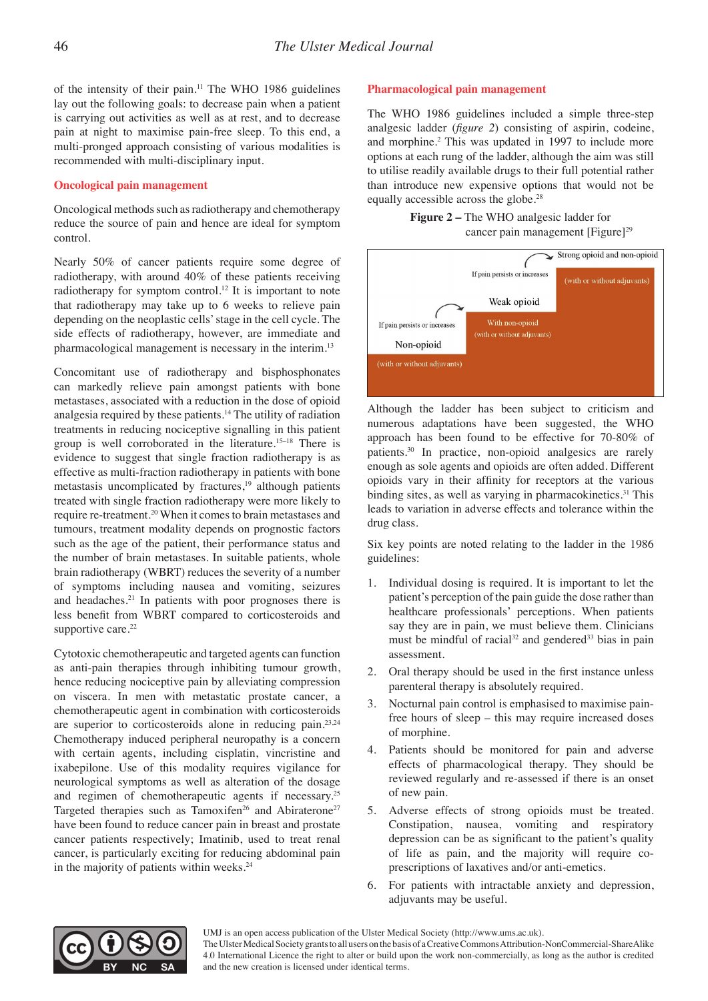of the intensity of their pain.<sup>11</sup> The WHO 1986 guidelines lay out the following goals: to decrease pain when a patient is carrying out activities as well as at rest, and to decrease pain at night to maximise pain-free sleep. To this end, a multi-pronged approach consisting of various modalities is recommended with multi-disciplinary input.

#### **Oncological pain management**

Oncological methods such as radiotherapy and chemotherapy reduce the source of pain and hence are ideal for symptom control.

Nearly 50% of cancer patients require some degree of radiotherapy, with around 40% of these patients receiving radiotherapy for symptom control.<sup>12</sup> It is important to note that radiotherapy may take up to 6 weeks to relieve pain depending on the neoplastic cells' stage in the cell cycle. The side effects of radiotherapy, however, are immediate and pharmacological management is necessary in the interim.13

Concomitant use of radiotherapy and bisphosphonates can markedly relieve pain amongst patients with bone metastases, associated with a reduction in the dose of opioid analgesia required by these patients.14 The utility of radiation treatments in reducing nociceptive signalling in this patient group is well corroborated in the literature.15–18 There is evidence to suggest that single fraction radiotherapy is as effective as multi-fraction radiotherapy in patients with bone metastasis uncomplicated by fractures, $19$  although patients treated with single fraction radiotherapy were more likely to require re-treatment.20 When it comes to brain metastases and tumours, treatment modality depends on prognostic factors such as the age of the patient, their performance status and the number of brain metastases. In suitable patients, whole brain radiotherapy (WBRT) reduces the severity of a number of symptoms including nausea and vomiting, seizures and headaches.<sup>21</sup> In patients with poor prognoses there is less benefit from WBRT compared to corticosteroids and supportive care.<sup>22</sup>

Cytotoxic chemotherapeutic and targeted agents can function as anti-pain therapies through inhibiting tumour growth, hence reducing nociceptive pain by alleviating compression on viscera. In men with metastatic prostate cancer, a chemotherapeutic agent in combination with corticosteroids are superior to corticosteroids alone in reducing pain.23,24 Chemotherapy induced peripheral neuropathy is a concern with certain agents, including cisplatin, vincristine and ixabepilone. Use of this modality requires vigilance for neurological symptoms as well as alteration of the dosage and regimen of chemotherapeutic agents if necessary.<sup>25</sup> Targeted therapies such as Tamoxifen<sup>26</sup> and Abiraterone<sup>27</sup> have been found to reduce cancer pain in breast and prostate cancer patients respectively; Imatinib, used to treat renal cancer, is particularly exciting for reducing abdominal pain in the majority of patients within weeks.<sup>24</sup>

## **Pharmacological pain management**

The WHO 1986 guidelines included a simple three-step analgesic ladder (*figure 2*) consisting of aspirin, codeine, and morphine.<sup>2</sup> This was updated in 1997 to include more options at each rung of the ladder, although the aim was still to utilise readily available drugs to their full potential rather than introduce new expensive options that would not be equally accessible across the globe.28

**Figure 2 – The WHO analgesic ladder for** cancer pain management [Figure]<sup>29</sup>



Although the ladder has been subject to criticism and numerous adaptations have been suggested, the WHO approach has been found to be effective for 70-80% of patients.30 In practice, non-opioid analgesics are rarely enough as sole agents and opioids are often added. Different opioids vary in their affinity for receptors at the various binding sites, as well as varying in pharmacokinetics. $31$  This leads to variation in adverse effects and tolerance within the drug class.

Six key points are noted relating to the ladder in the 1986 guidelines:

- 1. Individual dosing is required. It is important to let the patient's perception of the pain guide the dose rather than healthcare professionals' perceptions. When patients say they are in pain, we must believe them. Clinicians must be mindful of racial<sup>32</sup> and gendered<sup>33</sup> bias in pain assessment.
- 2. Oral therapy should be used in the first instance unless parenteral therapy is absolutely required.
- 3. Nocturnal pain control is emphasised to maximise painfree hours of sleep – this may require increased doses of morphine.
- 4. Patients should be monitored for pain and adverse effects of pharmacological therapy. They should be reviewed regularly and re-assessed if there is an onset of new pain.
- 5. Adverse effects of strong opioids must be treated. Constipation, nausea, vomiting and respiratory depression can be as significant to the patient's quality of life as pain, and the majority will require coprescriptions of laxatives and/or anti-emetics.
- 6. For patients with intractable anxiety and depression, adjuvants may be useful.



The Ulster Medical Society grants to all users on the basis of a Creative Commons Attribution-NonCommercial-ShareAlike 4.0 International Licence the right to alter or build upon the work non-commercially, as long as the author is credited and the new creation is licensed under identical terms.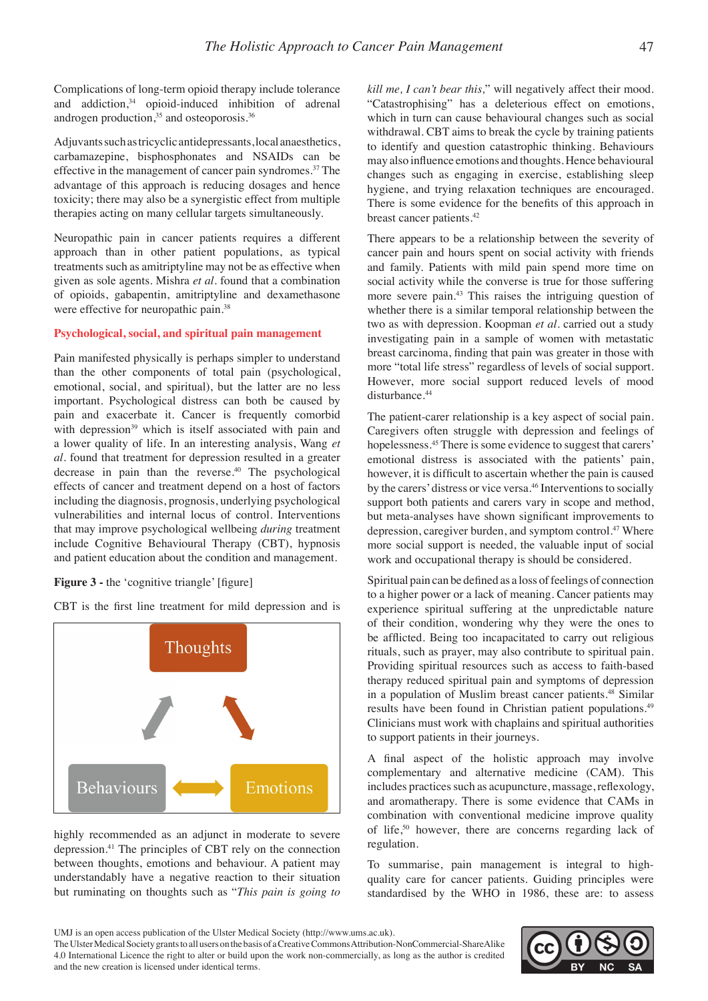Complications of long-term opioid therapy include tolerance and addiction, $34$  opioid-induced inhibition of adrenal androgen production,<sup>35</sup> and osteoporosis.<sup>36</sup>

Adjuvants such as tricyclic antidepressants, local anaesthetics, carbamazepine, bisphosphonates and NSAIDs can be effective in the management of cancer pain syndromes.<sup>37</sup> The advantage of this approach is reducing dosages and hence toxicity; there may also be a synergistic effect from multiple therapies acting on many cellular targets simultaneously.

Neuropathic pain in cancer patients requires a different approach than in other patient populations, as typical treatments such as amitriptyline may not be as effective when given as sole agents. Mishra *et al.* found that a combination of opioids, gabapentin, amitriptyline and dexamethasone were effective for neuropathic pain.<sup>38</sup>

## **Psychological, social, and spiritual pain management**

Pain manifested physically is perhaps simpler to understand than the other components of total pain (psychological, emotional, social, and spiritual), but the latter are no less important. Psychological distress can both be caused by pain and exacerbate it. Cancer is frequently comorbid with depression<sup>39</sup> which is itself associated with pain and a lower quality of life. In an interesting analysis, Wang *et al.* found that treatment for depression resulted in a greater decrease in pain than the reverse.40 The psychological effects of cancer and treatment depend on a host of factors including the diagnosis, prognosis, underlying psychological vulnerabilities and internal locus of control. Interventions that may improve psychological wellbeing *during* treatment include Cognitive Behavioural Therapy (CBT), hypnosis and patient education about the condition and management.

#### **Figure 3 -** the 'cognitive triangle' [figure]

CBT is the first line treatment for mild depression and is



highly recommended as an adjunct in moderate to severe depression.41 The principles of CBT rely on the connection between thoughts, emotions and behaviour. A patient may understandably have a negative reaction to their situation but ruminating on thoughts such as "*This pain is going to*  *kill me, I can't bear this,*" will negatively affect their mood. "Catastrophising" has a deleterious effect on emotions, which in turn can cause behavioural changes such as social withdrawal. CBT aims to break the cycle by training patients to identify and question catastrophic thinking. Behaviours may also influence emotions and thoughts. Hence behavioural changes such as engaging in exercise, establishing sleep hygiene, and trying relaxation techniques are encouraged. There is some evidence for the benefits of this approach in breast cancer patients.<sup>42</sup>

There appears to be a relationship between the severity of cancer pain and hours spent on social activity with friends and family. Patients with mild pain spend more time on social activity while the converse is true for those suffering more severe pain.43 This raises the intriguing question of whether there is a similar temporal relationship between the two as with depression. Koopman *et al*. carried out a study investigating pain in a sample of women with metastatic breast carcinoma, finding that pain was greater in those with more "total life stress" regardless of levels of social support. However, more social support reduced levels of mood disturbance.<sup>44</sup>

The patient-carer relationship is a key aspect of social pain. Caregivers often struggle with depression and feelings of hopelessness.<sup>45</sup> There is some evidence to suggest that carers' emotional distress is associated with the patients' pain, however, it is difficult to ascertain whether the pain is caused by the carers' distress or vice versa.<sup>46</sup> Interventions to socially support both patients and carers vary in scope and method, but meta-analyses have shown significant improvements to depression, caregiver burden, and symptom control.<sup>47</sup> Where more social support is needed, the valuable input of social work and occupational therapy is should be considered.

Spiritual pain can be defined as a loss of feelings of connection to a higher power or a lack of meaning. Cancer patients may experience spiritual suffering at the unpredictable nature of their condition, wondering why they were the ones to be afflicted. Being too incapacitated to carry out religious rituals, such as prayer, may also contribute to spiritual pain. Providing spiritual resources such as access to faith-based therapy reduced spiritual pain and symptoms of depression in a population of Muslim breast cancer patients.48 Similar results have been found in Christian patient populations.<sup>49</sup> Clinicians must work with chaplains and spiritual authorities to support patients in their journeys.

A final aspect of the holistic approach may involve complementary and alternative medicine (CAM). This includes practices such as acupuncture, massage, reflexology, and aromatherapy. There is some evidence that CAMs in combination with conventional medicine improve quality of life,<sup>50</sup> however, there are concerns regarding lack of regulation.

To summarise, pain management is integral to highquality care for cancer patients. Guiding principles were standardised by the WHO in 1986, these are: to assess

The Ulster Medical Society grants to all users on the basis of a Creative Commons Attribution-NonCommercial-ShareAlike 4.0 International Licence the right to alter or build upon the work non-commercially, as long as the author is credited and the new creation is licensed under identical terms.



UMJ is an open access publication of the Ulster Medical Society (http://www.ums.ac.uk).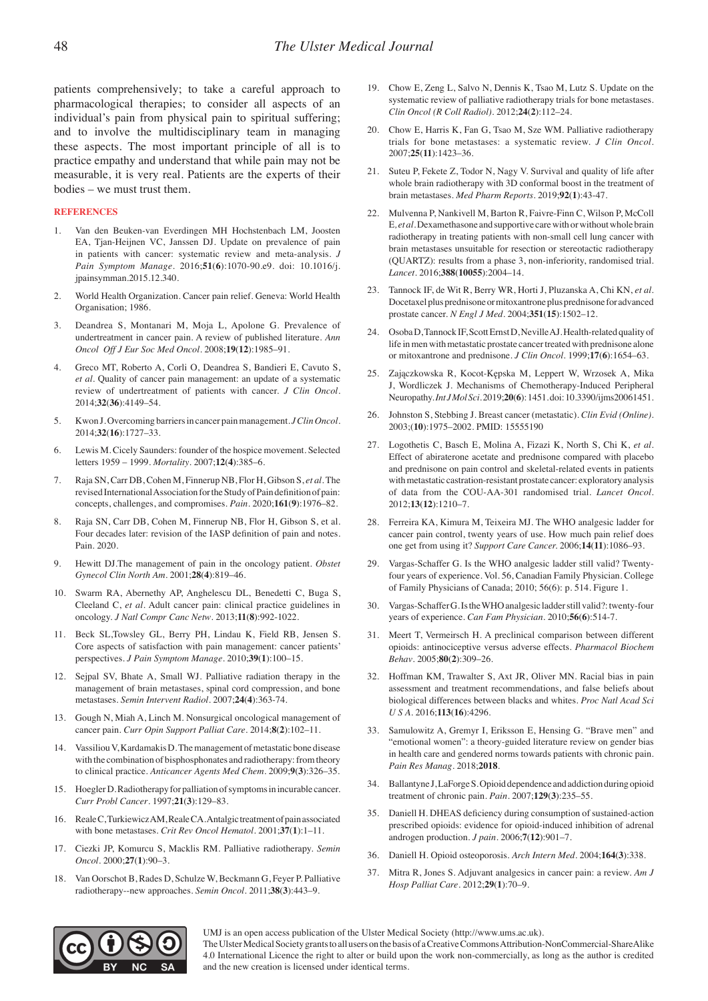patients comprehensively; to take a careful approach to pharmacological therapies; to consider all aspects of an individual's pain from physical pain to spiritual suffering; and to involve the multidisciplinary team in managing these aspects. The most important principle of all is to practice empathy and understand that while pain may not be measurable, it is very real. Patients are the experts of their bodies – we must trust them.

#### **REFERENCES**

- 1. Van den Beuken-van Everdingen MH Hochstenbach LM, Joosten EA, Tjan-Heijnen VC, Janssen DJ. Update on prevalence of pain in patients with cancer: systematic review and meta-analysis. *J Pain Symptom Manage*. 2016;**51**(**6**):1070-90.e9. doi: 10.1016/j. jpainsymman.2015.12.340.
- 2. World Health Organization. Cancer pain relief. Geneva: World Health Organisation; 1986.
- 3. Deandrea S, Montanari M, Moja L, Apolone G. Prevalence of undertreatment in cancer pain. A review of published literature. *Ann Oncol Off J Eur Soc Med Oncol*. 2008;**19**(**12**):1985–91.
- 4. Greco MT, Roberto A, Corli O, Deandrea S, Bandieri E, Cavuto S, *et al*. Quality of cancer pain management: an update of a systematic review of undertreatment of patients with cancer. *J Clin Oncol*. 2014;**32**(**36**):4149–54.
- 5. Kwon J. Overcoming barriers in cancer pain management. *J Clin Oncol*. 2014;**32**(**16**):1727–33.
- 6. Lewis M. Cicely Saunders: founder of the hospice movement. Selected letters 1959 – 1999. *Mortality*. 2007;**12**(**4**):385–6.
- 7. Raja SN, Carr DB, Cohen M, Finnerup NB, Flor H, Gibson S, *et al.* The revised International Association for the Study of Pain definition of pain: concepts, challenges, and compromises. *Pain*. 2020;**161**(**9**):1976–82.
- 8. Raja SN, Carr DB, Cohen M, Finnerup NB, Flor H, Gibson S, et al. Four decades later: revision of the IASP definition of pain and notes. Pain. 2020.
- 9. Hewitt DJ.The management of pain in the oncology patient. *Obstet Gynecol Clin North Am*. 2001;**28**(**4**):819–46.
- Swarm RA, Abernethy AP, Anghelescu DL, Benedetti C, Buga S, Cleeland C, *et al.* Adult cancer pain: clinical practice guidelines in oncology. *J Natl Compr Canc Netw*. 2013;**11**(**8**):992-1022.
- 11. Beck SL,Towsley GL, Berry PH, Lindau K, Field RB, Jensen S. Core aspects of satisfaction with pain management: cancer patients' perspectives. *J Pain Symptom Manage*. 2010;**39**(**1**):100–15.
- 12. Sejpal SV, Bhate A, Small WJ. Palliative radiation therapy in the management of brain metastases, spinal cord compression, and bone metastases. *Semin Intervent Radiol*. 2007;**24**(**4**):363-74.
- 13. Gough N, Miah A, Linch M. Nonsurgical oncological management of cancer pain. *Curr Opin Support Palliat Care*. 2014;**8**(**2**):102–11.
- 14. Vassiliou V, Kardamakis D. The management of metastatic bone disease with the combination of bisphosphonates and radiotherapy: from theory to clinical practice. *Anticancer Agents Med Chem*. 2009;**9**(**3**):326–35.
- 15. Hoegler D. Radiotherapy for palliation of symptoms in incurable cancer. *Curr Probl Cancer*. 1997;**21**(**3**):129–83.
- 16. Reale C, Turkiewicz AM, Reale CA. Antalgic treatment of pain associated with bone metastases. *Crit Rev Oncol Hematol*. 2001;**37**(**1**):1–11.
- 17. Ciezki JP, Komurcu S, Macklis RM. Palliative radiotherapy. *Semin Oncol*. 2000;**27**(**1**):90–3.
- 18. Van Oorschot B, Rades D, Schulze W, Beckmann G, Feyer P. Palliative radiotherapy--new approaches. *Semin Oncol*. 2011;**38**(**3**):443–9.
- 19. Chow E, Zeng L, Salvo N, Dennis K, Tsao M, Lutz S. Update on the systematic review of palliative radiotherapy trials for bone metastases. *Clin Oncol (R Coll Radiol)*. 2012;**24**(**2**):112–24.
- 20. Chow E, Harris K, Fan G, Tsao M, Sze WM. Palliative radiotherapy trials for bone metastases: a systematic review. *J Clin Oncol*. 2007;**25**(**11**):1423–36.
- 21. Suteu P, Fekete Z, Todor N, Nagy V. Survival and quality of life after whole brain radiotherapy with 3D conformal boost in the treatment of brain metastases. *Med Pharm Reports*. 2019;**92**(**1**):43-47.
- 22. Mulvenna P, Nankivell M, Barton R, Faivre-Finn C, Wilson P, McColl E*, et al.* Dexamethasone and supportive care with or without whole brain radiotherapy in treating patients with non-small cell lung cancer with brain metastases unsuitable for resection or stereotactic radiotherapy (QUARTZ): results from a phase 3, non-inferiority, randomised trial. *Lancet*. 2016;**388**(**10055**):2004–14.
- 23. Tannock IF, de Wit R, Berry WR, Horti J, Pluzanska A, Chi KN, *et al*. Docetaxel plus prednisone or mitoxantrone plus prednisone for advanced prostate cancer. *N Engl J Med*. 2004;**351**(**15**):1502–12.
- 24. Osoba D, Tannock IF, Scott Ernst D, Neville AJ. Health-related quality of life in men with metastatic prostate cancer treated with prednisone alone or mitoxantrone and prednisone. *J Clin Oncol*. 1999;**17**(**6**):1654–63.
- 25. Zajączkowska R, Kocot-Kępska M, Leppert W, Wrzosek A, Mika J, Wordliczek J. Mechanisms of Chemotherapy-Induced Peripheral Neuropathy. *Int J Mol Sci*. 2019;**20**(**6**): 1451. doi: 10.3390/ijms20061451.
- 26. Johnston S, Stebbing J. Breast cancer (metastatic). *Clin Evid (Online)*. 2003;(**10**):1975–2002. PMID: 15555190
- 27. Logothetis C, Basch E, Molina A, Fizazi K, North S, Chi K, *et al.*  Effect of abiraterone acetate and prednisone compared with placebo and prednisone on pain control and skeletal-related events in patients with metastatic castration-resistant prostate cancer: exploratory analysis of data from the COU-AA-301 randomised trial. *Lancet Oncol*. 2012;**13**(**12**):1210–7.
- 28. Ferreira KA, Kimura M, Teixeira MJ. The WHO analgesic ladder for cancer pain control, twenty years of use. How much pain relief does one get from using it? *Support Care Cancer.* 2006;**14**(**11**):1086–93.
- 29. Vargas-Schaffer G. Is the WHO analgesic ladder still valid? Twentyfour years of experience. Vol. 56, Canadian Family Physician. College of Family Physicians of Canada; 2010; 56(6): p. 514. Figure 1.
- 30. Vargas-Schaffer G. Is the WHO analgesic ladder still valid?: twenty-four years of experience. *Can Fam Physician*. 2010;**56**(**6**):514-7.
- 31. Meert T, Vermeirsch H. A preclinical comparison between different opioids: antinociceptive versus adverse effects. *Pharmacol Biochem Behav*. 2005;**80**(**2**):309–26.
- 32. Hoffman KM, Trawalter S, Axt JR, Oliver MN. Racial bias in pain assessment and treatment recommendations, and false beliefs about biological differences between blacks and whites. *Proc Natl Acad Sci U S A*. 2016;**113**(**16**):4296.
- 33. Samulowitz A, Gremyr I, Eriksson E, Hensing G. "Brave men" and "emotional women": a theory-guided literature review on gender bias in health care and gendered norms towards patients with chronic pain. *Pain Res Manag*. 2018;**2018**.
- 34. Ballantyne J, LaForge S. Opioid dependence and addiction during opioid treatment of chronic pain. *Pain*. 2007;**129**(**3**):235–55.
- 35. Daniell H. DHEAS deficiency during consumption of sustained-action prescribed opioids: evidence for opioid-induced inhibition of adrenal androgen production. *J pain*. 2006;**7**(**12**):901–7.
- 36. Daniell H. Opioid osteoporosis. *Arch Intern Med*. 2004;**164**(**3**):338.
- 37. Mitra R, Jones S. Adjuvant analgesics in cancer pain: a review. *Am J Hosp Palliat Care*. 2012;**29**(**1**):70–9.